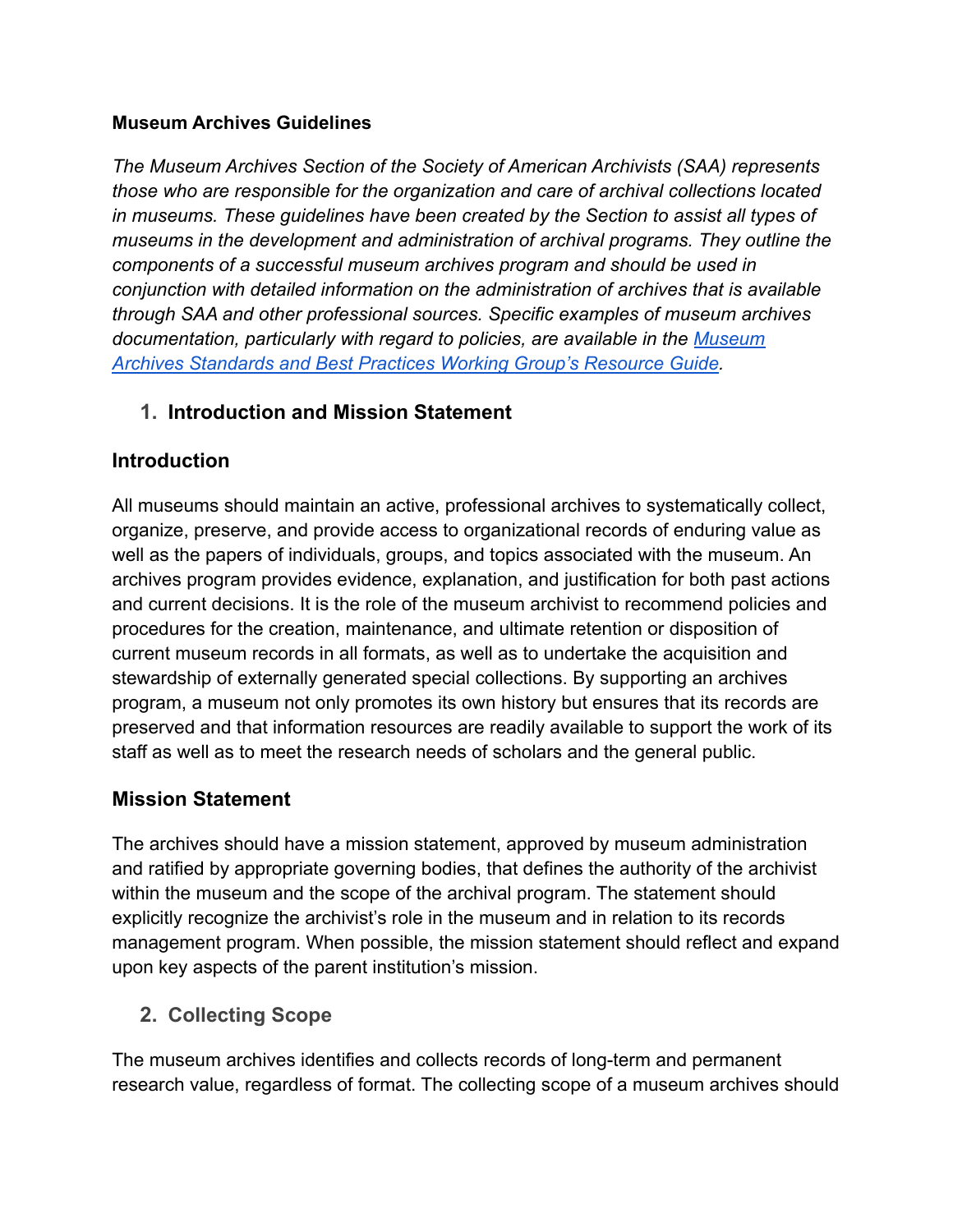#### **Museum Archives Guidelines**

*The Museum Archives Section of the Society of American Archivists (SAA) represents those who are responsible for the organization and care of archival collections located in museums. These guidelines have been created by the Section to assist all types of museums in the development and administration of archival programs. They outline the components of a successful museum archives program and should be used in conjunction with detailed information on the administration of archives that is available through SAA and other professional sources. Specific examples of museum archives documentation, particularly with regard to policies, are available in the [Museum](https://www2.archivists.org/groups/museum-archives-section/standards-best-practices-resource-guide) [Archives Standards and Best Practices Working Group's Resource Guide.](https://www2.archivists.org/groups/museum-archives-section/standards-best-practices-resource-guide)*

#### **1. Introduction and Mission Statement**

#### **Introduction**

All museums should maintain an active, professional archives to systematically collect, organize, preserve, and provide access to organizational records of enduring value as well as the papers of individuals, groups, and topics associated with the museum. An archives program provides evidence, explanation, and justification for both past actions and current decisions. It is the role of the museum archivist to recommend policies and procedures for the creation, maintenance, and ultimate retention or disposition of current museum records in all formats, as well as to undertake the acquisition and stewardship of externally generated special collections. By supporting an archives program, a museum not only promotes its own history but ensures that its records are preserved and that information resources are readily available to support the work of its staff as well as to meet the research needs of scholars and the general public.

#### **Mission Statement**

The archives should have a mission statement, approved by museum administration and ratified by appropriate governing bodies, that defines the authority of the archivist within the museum and the scope of the archival program. The statement should explicitly recognize the archivist's role in the museum and in relation to its records management program. When possible, the mission statement should reflect and expand upon key aspects of the parent institution's mission.

**2. Collecting Scope**

The museum archives identifies and collects records of long-term and permanent research value, regardless of format. The collecting scope of a museum archives should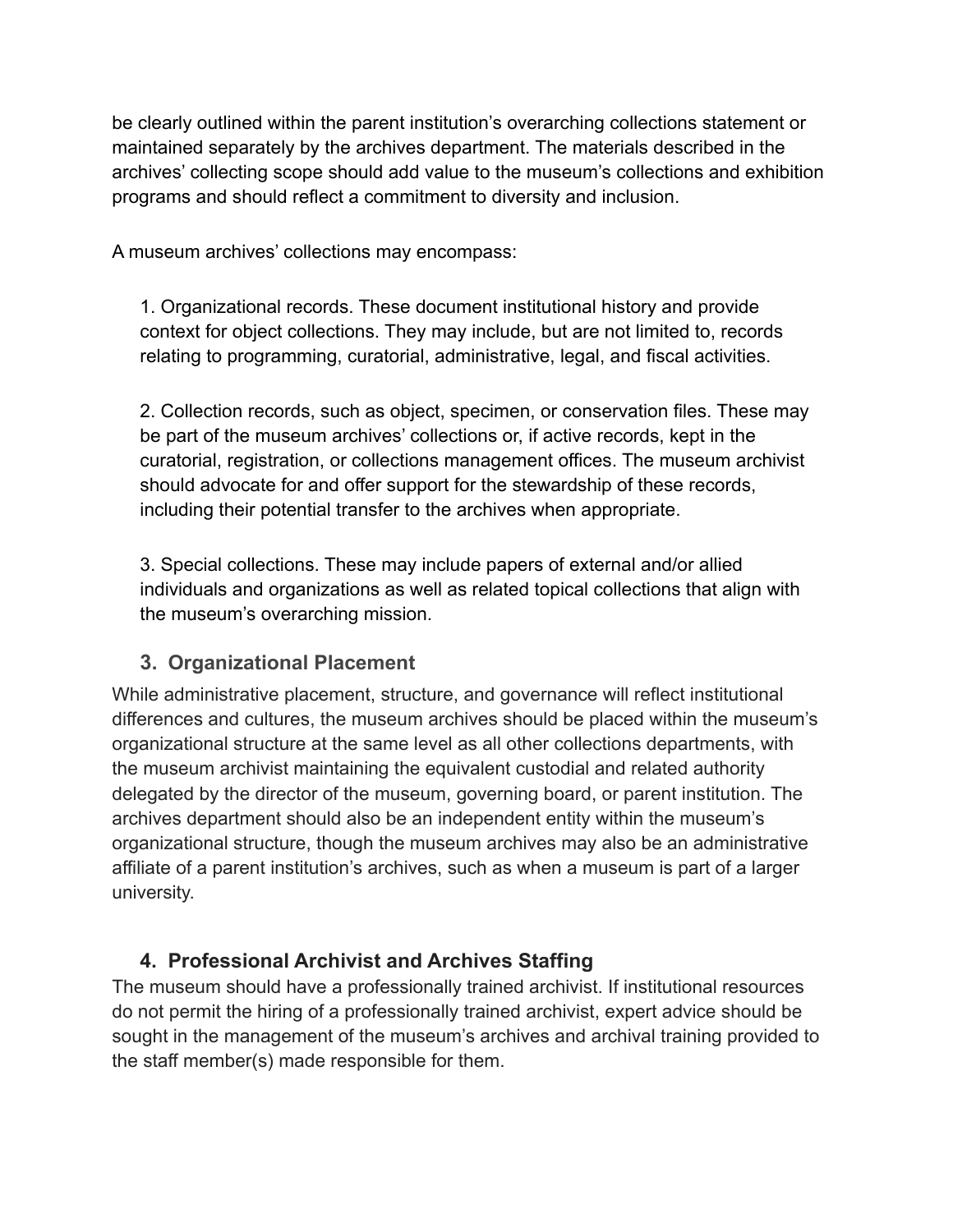be clearly outlined within the parent institution's overarching collections statement or maintained separately by the archives department. The materials described in the archives' collecting scope should add value to the museum's collections and exhibition programs and should reflect a commitment to diversity and inclusion.

A museum archives' collections may encompass:

1. Organizational records. These document institutional history and provide context for object collections. They may include, but are not limited to, records relating to programming, curatorial, administrative, legal, and fiscal activities.

2. Collection records, such as object, specimen, or conservation files. These may be part of the museum archives' collections or, if active records, kept in the curatorial, registration, or collections management offices. The museum archivist should advocate for and offer support for the stewardship of these records, including their potential transfer to the archives when appropriate.

3. Special collections. These may include papers of external and/or allied individuals and organizations as well as related topical collections that align with the museum's overarching mission.

#### **3. Organizational Placement**

While administrative placement, structure, and governance will reflect institutional differences and cultures, the museum archives should be placed within the museum's organizational structure at the same level as all other collections departments, with the museum archivist maintaining the equivalent custodial and related authority delegated by the director of the museum, governing board, or parent institution. The archives department should also be an independent entity within the museum's organizational structure, though the museum archives may also be an administrative affiliate of a parent institution's archives, such as when a museum is part of a larger university.

## **4. Professional Archivist and Archives Staffing**

The museum should have a professionally trained archivist. If institutional resources do not permit the hiring of a professionally trained archivist, expert advice should be sought in the management of the museum's archives and archival training provided to the staff member(s) made responsible for them.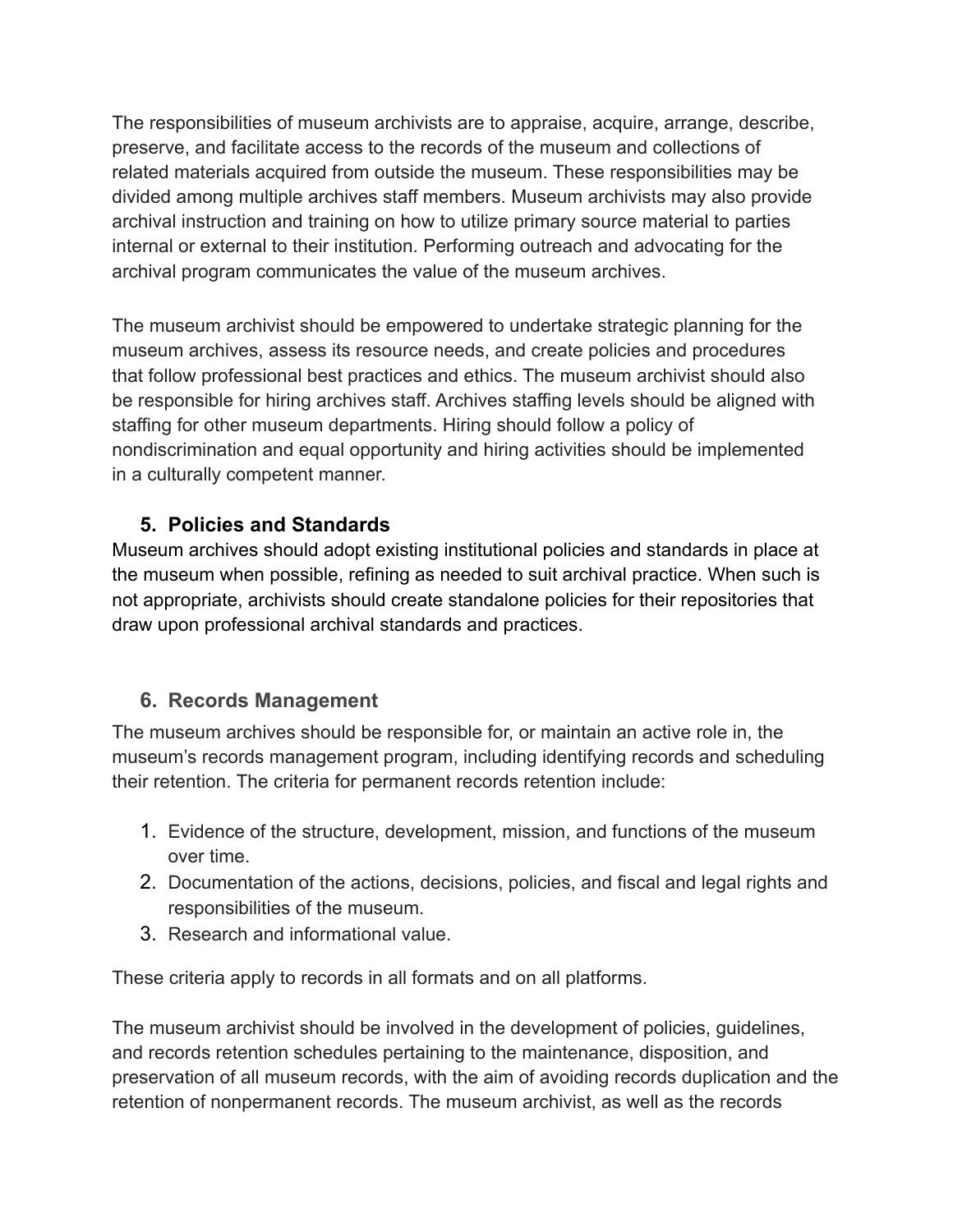The responsibilities of museum archivists are to appraise, acquire, arrange, describe, preserve, and facilitate access to the records of the museum and collections of related materials acquired from outside the museum. These responsibilities may be divided among multiple archives staff members. Museum archivists may also provide archival instruction and training on how to utilize primary source material to parties internal or external to their institution. Performing outreach and advocating for the archival program communicates the value of the museum archives.

The museum archivist should be empowered to undertake strategic planning for the museum archives, assess its resource needs, and create policies and procedures that follow professional best practices and ethics. The museum archivist should also be responsible for hiring archives staff. Archives staffing levels should be aligned with staffing for other museum departments. Hiring should follow a policy of nondiscrimination and equal opportunity and hiring activities should be implemented in a culturally competent manner.

## **5. Policies and Standards**

Museum archives should adopt existing institutional policies and standards in place at the museum when possible, refining as needed to suit archival practice. When such is not appropriate, archivists should create standalone policies for their repositories that draw upon professional archival [standards](https://www2.archivists.org/standards) and practices.

## **6. Records Management**

The museum archives should be responsible for, or maintain an active role in, the museum's records management program, including identifying records and scheduling their retention. The criteria for permanent records retention include:

- 1. Evidence of the structure, development, mission, and functions of the museum over time.
- 2. Documentation of the actions, decisions, policies, and fiscal and legal rights and responsibilities of the museum.
- 3. Research and informational value.

These criteria apply to records in all formats and on all platforms.

The museum archivist should be involved in the development of policies, guidelines, and records retention schedules pertaining to the maintenance, disposition, and preservation of all museum records, with the aim of avoiding records duplication and the retention of nonpermanent records. The museum archivist, as well as the records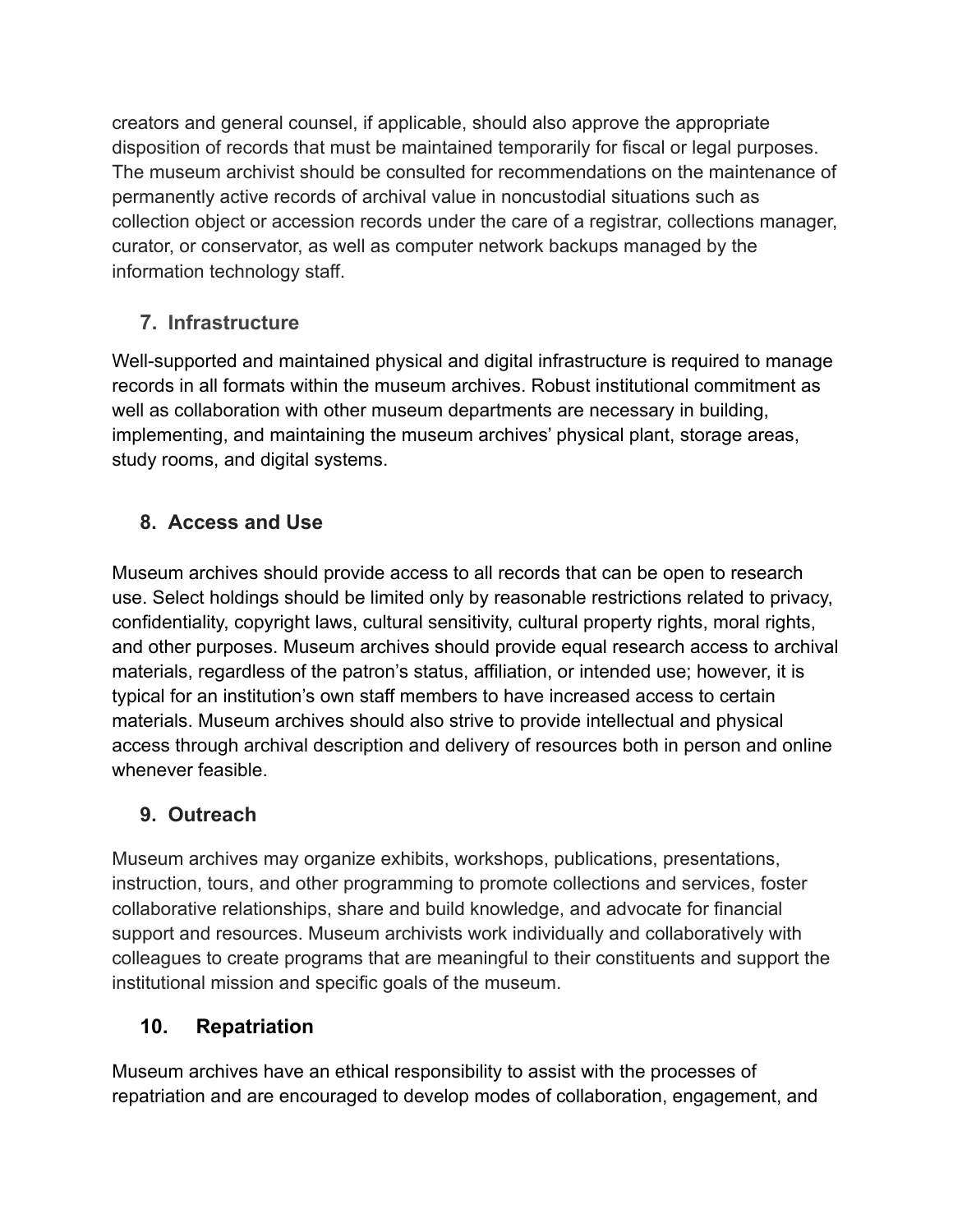creators and general counsel, if applicable, should also approve the appropriate disposition of records that must be maintained temporarily for fiscal or legal purposes. The museum archivist should be consulted for recommendations on the maintenance of permanently active records of archival value in noncustodial situations such as collection object or accession records under the care of a registrar, collections manager, curator, or conservator, as well as computer network backups managed by the information technology staff.

## **7. Infrastructure**

Well-supported and maintained physical and digital infrastructure is required to manage records in all formats within the museum archives. Robust institutional commitment as well as collaboration with other museum departments are necessary in building, implementing, and maintaining the museum archives' physical plant, storage areas, study rooms, and digital systems.

# **8. Access and Use**

Museum archives should provide access to all records that can be open to research use. Select holdings should be limited only by reasonable restrictions related to privacy, confidentiality, copyright laws, cultural sensitivity, cultural property rights, moral rights, and other purposes. Museum archives should provide equal research access to archival materials, regardless of the patron's status, affiliation, or intended use; however, it is typical for an institution's own staff members to have increased access to certain materials. Museum archives should also strive to provide intellectual and physical access through archival description and delivery of resources both in person and online whenever feasible.

# **9. Outreach**

Museum archives may organize exhibits, workshops, publications, presentations, instruction, tours, and other programming to promote collections and services, foster collaborative relationships, share and build knowledge, and advocate for financial support and resources. Museum archivists work individually and collaboratively with colleagues to create programs that are meaningful to their constituents and support the institutional mission and specific goals of the museum.

## **10. Repatriation**

Museum archives have an ethical responsibility to assist with the processes of repatriation and are encouraged to develop modes of collaboration, engagement, and